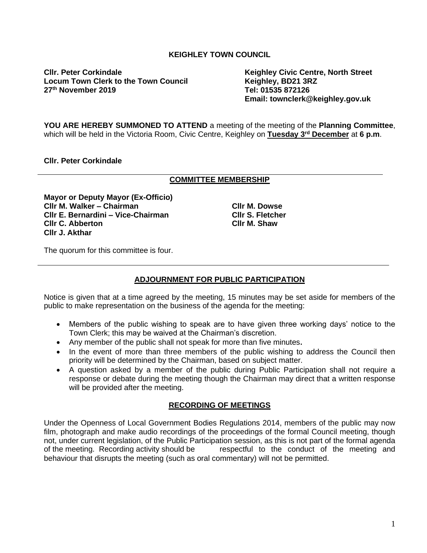# **KEIGHLEY TOWN COUNCIL**

**Cllr. Peter Corkindale Keighley Civic Centre, North Street** Locum Town Clerk to the Town Council **Read of the Keighley, BD21 3R**<br>27<sup>th</sup> November 2019 **27<sup>th</sup> November 2019** 

**Email: townclerk@keighley.gov.uk**

**YOU ARE HEREBY SUMMONED TO ATTEND** a meeting of the meeting of the **Planning Committee**, which will be held in the Victoria Room, Civic Centre, Keighley on **Tuesday 3 rd December** at **6 p.m**.

# **Cllr. Peter Corkindale**

## **COMMITTEE MEMBERSHIP**

**Mayor or Deputy Mayor (Ex-Officio) Cllr M. Walker – Chairman Cllr E. Bernardini – Vice-Chairman Cllr C. Abberton Cllr J. Akthar**

**Cllr M. Dowse Cllr S. Fletcher Cllr M. Shaw**

The quorum for this committee is four.

# **ADJOURNMENT FOR PUBLIC PARTICIPATION**

Notice is given that at a time agreed by the meeting, 15 minutes may be set aside for members of the public to make representation on the business of the agenda for the meeting:

- Members of the public wishing to speak are to have given three working days' notice to the Town Clerk; this may be waived at the Chairman's discretion.
- Any member of the public shall not speak for more than five minutes**.**
- In the event of more than three members of the public wishing to address the Council then priority will be determined by the Chairman, based on subject matter.
- A question asked by a member of the public during Public Participation shall not require a response or debate during the meeting though the Chairman may direct that a written response will be provided after the meeting.

## **RECORDING OF MEETINGS**

Under the Openness of Local Government Bodies Regulations 2014, members of the public may now film, photograph and make audio recordings of the proceedings of the formal Council meeting, though not, under current legislation, of the Public Participation session, as this is not part of the formal agenda of the meeting. Recording activity should be respectful to the conduct of the meeting and behaviour that disrupts the meeting (such as oral commentary) will not be permitted.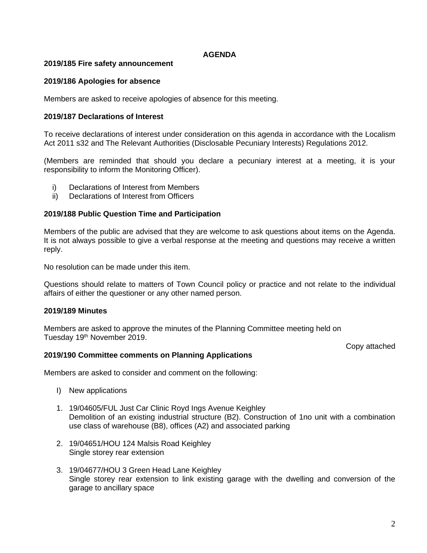# **AGENDA**

# **2019/185 Fire safety announcement**

# **2019/186 Apologies for absence**

Members are asked to receive apologies of absence for this meeting.

## **2019/187 Declarations of Interest**

To receive declarations of interest under consideration on this agenda in accordance with the Localism Act 2011 s32 and The Relevant Authorities (Disclosable Pecuniary Interests) Regulations 2012.

(Members are reminded that should you declare a pecuniary interest at a meeting, it is your responsibility to inform the Monitoring Officer).

- i) Declarations of Interest from Members
- ii) Declarations of Interest from Officers

## **2019/188 Public Question Time and Participation**

Members of the public are advised that they are welcome to ask questions about items on the Agenda. It is not always possible to give a verbal response at the meeting and questions may receive a written reply.

No resolution can be made under this item.

Questions should relate to matters of Town Council policy or practice and not relate to the individual affairs of either the questioner or any other named person.

## **2019/189 Minutes**

Members are asked to approve the minutes of the Planning Committee meeting held on Tuesday 19<sup>th</sup> November 2019.

Copy attached

## **2019/190 Committee comments on Planning Applications**

Members are asked to consider and comment on the following:

- I) New applications
- 1. 19/04605/FUL Just Car Clinic Royd Ings Avenue Keighley Demolition of an existing industrial structure (B2). Construction of 1no unit with a combination use class of warehouse (B8), offices (A2) and associated parking
- 2. 19/04651/HOU 124 Malsis Road Keighley Single storey rear extension
- 3. 19/04677/HOU 3 Green Head Lane Keighley Single storey rear extension to link existing garage with the dwelling and conversion of the garage to ancillary space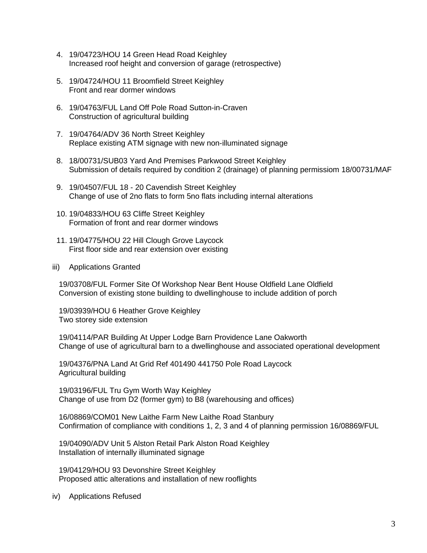- 4. 19/04723/HOU 14 Green Head Road Keighley Increased roof height and conversion of garage (retrospective)
- 5. 19/04724/HOU 11 Broomfield Street Keighley Front and rear dormer windows
- 6. 19/04763/FUL Land Off Pole Road Sutton-in-Craven Construction of agricultural building
- 7. 19/04764/ADV 36 North Street Keighley Replace existing ATM signage with new non-illuminated signage
- 8. 18/00731/SUB03 Yard And Premises Parkwood Street Keighley Submission of details required by condition 2 (drainage) of planning permissiom 18/00731/MAF
- 9. 19/04507/FUL 18 20 Cavendish Street Keighley Change of use of 2no flats to form 5no flats including internal alterations
- 10. 19/04833/HOU 63 Cliffe Street Keighley Formation of front and rear dormer windows
- 11. 19/04775/HOU 22 Hill Clough Grove Laycock First floor side and rear extension over existing
- iii) Applications Granted

19/03708/FUL Former Site Of Workshop Near Bent House Oldfield Lane Oldfield Conversion of existing stone building to dwellinghouse to include addition of porch

19/03939/HOU 6 Heather Grove Keighley Two storey side extension

19/04114/PAR Building At Upper Lodge Barn Providence Lane Oakworth Change of use of agricultural barn to a dwellinghouse and associated operational development

19/04376/PNA Land At Grid Ref 401490 441750 Pole Road Laycock Agricultural building

19/03196/FUL Tru Gym Worth Way Keighley Change of use from D2 (former gym) to B8 (warehousing and offices)

16/08869/COM01 New Laithe Farm New Laithe Road Stanbury Confirmation of compliance with conditions 1, 2, 3 and 4 of planning permission 16/08869/FUL

19/04090/ADV Unit 5 Alston Retail Park Alston Road Keighley Installation of internally illuminated signage

19/04129/HOU 93 Devonshire Street Keighley Proposed attic alterations and installation of new rooflights

iv) Applications Refused